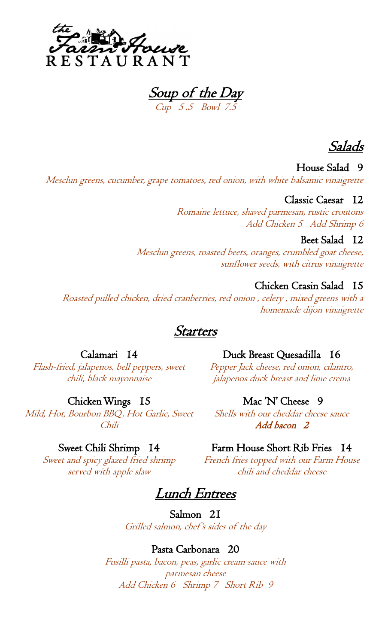

Soup of the Day Cup 5 .5 Bowl 7.5

Salads

House Salad 9 Mesclun greens, cucumber, grape tomatoes, red onion, with white balsamic vinaigrette

## Classic Caesar 12

Romaine lettuce, shaved parmesan, rustic croutons Add Chicken 5 Add Shrimp 6

## Beet Salad 12

Mesclun greens, roasted beets, oranges, crumbled goat cheese, sunflower seeds, with citrus vinaigrette

# Chicken Crasin Salad 15

Roasted pulled chicken, dried cranberries, red onion , celery , mixed greens with a homemade dijon vinaigrette

# **Starters**

## Calamari 14

Flash-fried, jalapenos, bell peppers, sweet chili, black mayonnaise

## Chicken Wings 15

Mild, Hot, Bourbon BBQ, Hot Garlic, Sweet Chili

## Sweet Chili Shrimp 14

Sweet and spicy glazed fried shrimp served with apple slaw

Duck Breast Quesadilla 16

Pepper Jack cheese, red onion, cilantro, jalapenos duck breast and lime crema

## Mac 'N' Cheese 9

Shells with our cheddar cheese sauce Add bacon 2

## Farm House Short Rib Fries 14

French fries topped with our Farm House chili and cheddar cheese

Lunch Entrees

Salmon 21 Grilled salmon, chef 's sides of the day

## Pasta Carbonara 20

Fusilli pasta, bacon, peas, garlic cream sauce with parmesan cheese Add Chicken 6 Shrimp 7 Short Rib 9